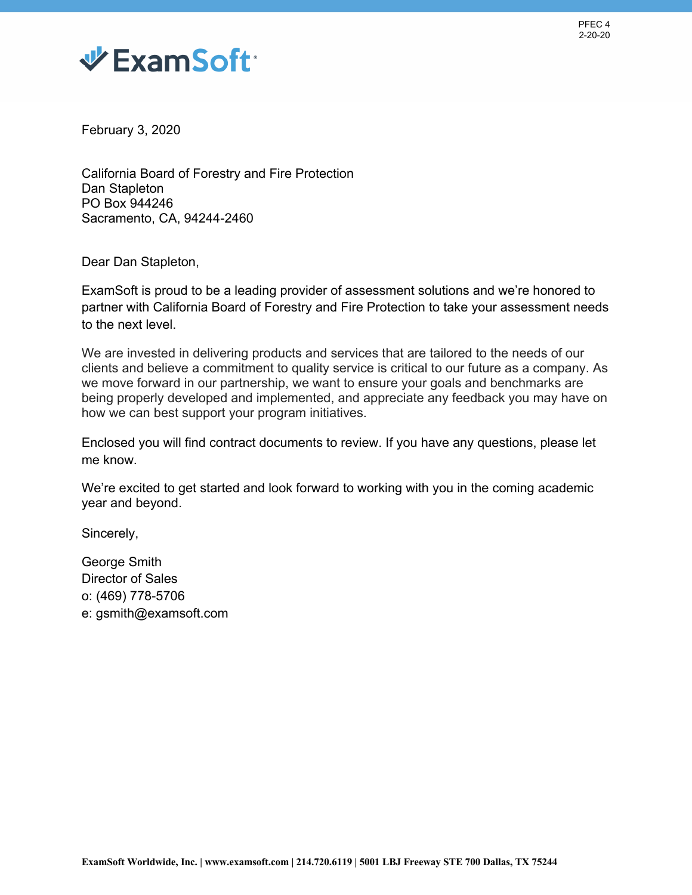



February 3, 2020

 Sacramento, CA, 94244-2460 California Board of Forestry and Fire Protection Dan Stapleton PO Box 944246

Dear Dan Stapleton,

 ExamSoft is proud to be a leading provider of assessment solutions and we're honored to partner with California Board of Forestry and Fire Protection to take your assessment needs to the next level.

 We are invested in delivering products and services that are tailored to the needs of our clients and believe a commitment to quality service is critical to our future as a company. As we move forward in our partnership, we want to ensure your goals and benchmarks are being properly developed and implemented, and appreciate any feedback you may have on how we can best support your program initiatives.

Enclosed you will find contract documents to review. If you have any questions, please let me know.

 We're excited to get started and look forward to working with you in the coming academic year and beyond.

Sincerely,

George Smith Director of Sales o: (469) 778-5706 e: gsmith@examsoft.com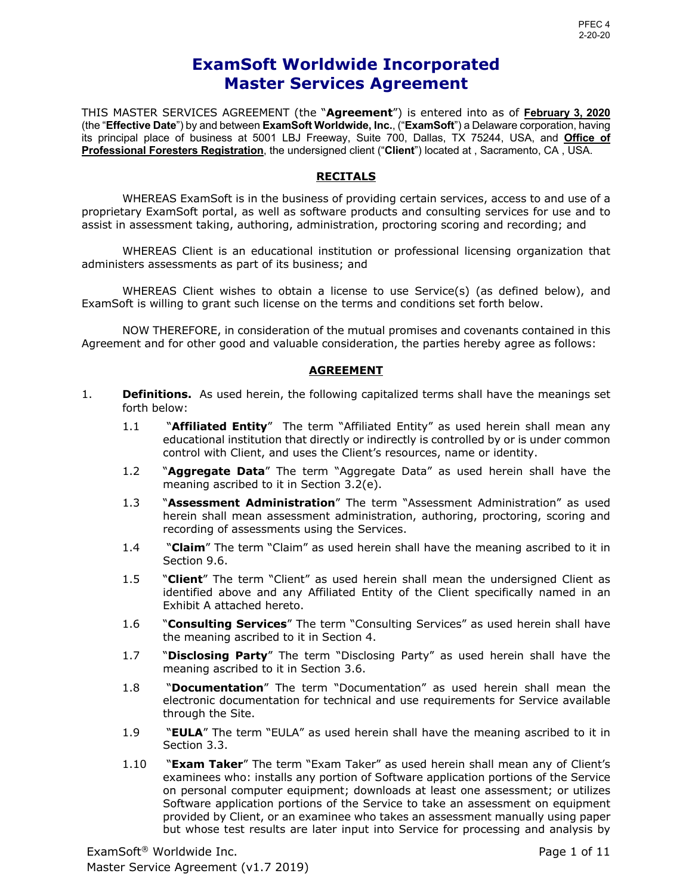# **Master Services Agreement ExamSoft Worldwide Incorporated**

 THIS MASTER SERVICES AGREEMENT (the "**Agreement**") is entered into as of **February 3, 2020**  (the "**Effective Date**") by and between **ExamSoft Worldwide, Inc.**, ("**ExamSoft**") a Delaware corporation, having its principal place of business at 5001 LBJ Freeway, Suite 700, Dallas, TX 75244, USA, and **Office of Professional Foresters Registration**, the undersigned client ("**Client**") located at , Sacramento, CA , USA.

### **RECITALS**

 WHEREAS ExamSoft is in the business of providing certain services, access to and use of a proprietary ExamSoft portal, as well as software products and consulting services for use and to assist in assessment taking, authoring, administration, proctoring scoring and recording; and

 WHEREAS Client is an educational institution or professional licensing organization that administers assessments as part of its business; and

 WHEREAS Client wishes to obtain a license to use Service(s) (as defined below), and ExamSoft is willing to grant such license on the terms and conditions set forth below.

 NOW THEREFORE, in consideration of the mutual promises and covenants contained in this Agreement and for other good and valuable consideration, the parties hereby agree as follows:

### **AGREEMENT**

- 1. **Definitions.** As used herein, the following capitalized terms shall have the meanings set forth below:
	- 1.1 "**Affiliated Entity**" The term "Affiliated Entity" as used herein shall mean any educational institution that directly or indirectly is controlled by or is under common control with Client, and uses the Client's resources, name or identity.
	- 1.2 "**Aggregate Data**" The term "Aggregate Data" as used herein shall have the meaning ascribed to it in Section 3.2(e).
	- 1.3 "**Assessment Administration**" The term "Assessment Administration" as used herein shall mean assessment administration, authoring, proctoring, scoring and recording of assessments using the Services.
	- 1.4 "**Claim**" The term "Claim" as used herein shall have the meaning ascribed to it in Section 9.6.
	- 1.5 "**Client**" The term "Client" as used herein shall mean the undersigned Client as identified above and any Affiliated Entity of the Client specifically named in an Exhibit A attached hereto.
	- 1.6 "**Consulting Services**" The term "Consulting Services" as used herein shall have the meaning ascribed to it in Section 4.
	- 1.7 "**Disclosing Party**" The term "Disclosing Party" as used herein shall have the meaning ascribed to it in Section 3.6.
	- 1.8 "**Documentation**" The term "Documentation" as used herein shall mean the electronic documentation for technical and use requirements for Service available through the Site.
	- 1.9 "**EULA**" The term "EULA" as used herein shall have the meaning ascribed to it in Section 3.3.
	- 1.10 "**Exam Taker**" The term "Exam Taker" as used herein shall mean any of Client's examinees who: installs any portion of Software application portions of the Service on personal computer equipment; downloads at least one assessment; or utilizes Software application portions of the Service to take an assessment on equipment provided by Client, or an examinee who takes an assessment manually using paper but whose test results are later input into Service for processing and analysis by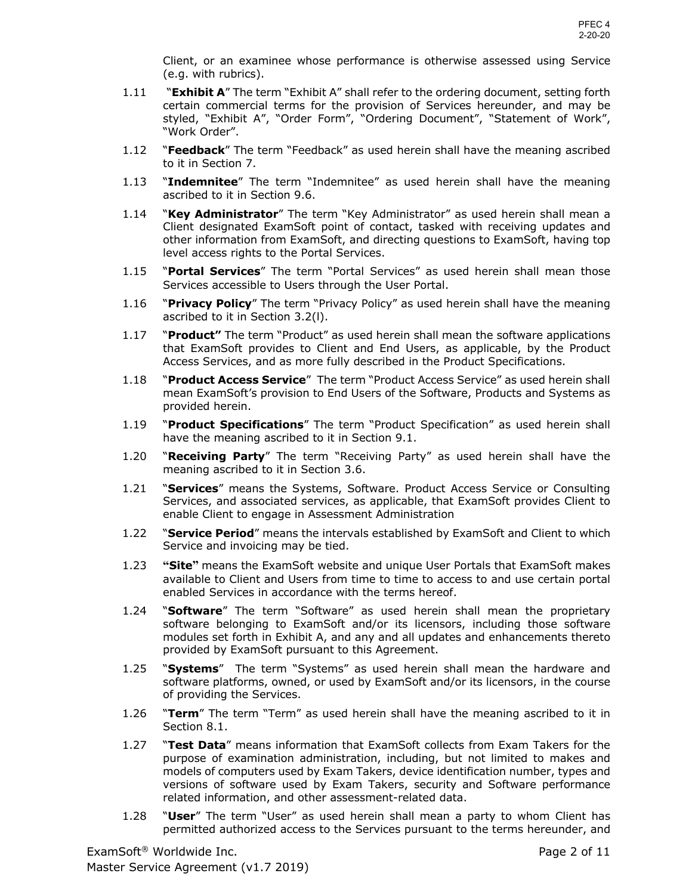Client, or an examinee whose performance is otherwise assessed using Service (e.g. with rubrics).

- 1.11 **"Exhibit A**" The term "Exhibit A" shall refer to the ordering document, setting forth certain commercial terms for the provision of Services hereunder, and may be styled, "Exhibit A", "Order Form", "Ordering Document", "Statement of Work", "Work Order".
- 1.12 "**Feedback**" The term "Feedback" as used herein shall have the meaning ascribed to it in Section 7.
- 1.13 "**Indemnitee**" The term "Indemnitee" as used herein shall have the meaning ascribed to it in Section 9.6.
- 1.14 "**Key Administrator**" The term "Key Administrator" as used herein shall mean a Client designated ExamSoft point of contact, tasked with receiving updates and other information from ExamSoft, and directing questions to ExamSoft, having top level access rights to the Portal Services.
- 1.15 "**Portal Services**" The term "Portal Services" as used herein shall mean those Services accessible to Users through the User Portal.
- 1.16 "**Privacy Policy**" The term "Privacy Policy" as used herein shall have the meaning ascribed to it in Section 3.2(l).
- 1.17 "**Product"** The term "Product" as used herein shall mean the software applications that ExamSoft provides to Client and End Users, as applicable, by the Product Access Services, and as more fully described in the Product Specifications.
- 1.18 "**Product Access Service**" The term "Product Access Service" as used herein shall mean ExamSoft's provision to End Users of the Software, Products and Systems as provided herein.
- 1.19 "**Product Specifications**" The term "Product Specification" as used herein shall have the meaning ascribed to it in Section 9.1.
- 1.20 "**Receiving Party**" The term "Receiving Party" as used herein shall have the meaning ascribed to it in Section 3.6.
- 1.21 "**Services**" means the Systems, Software. Product Access Service or Consulting Services, and associated services, as applicable, that ExamSoft provides Client to enable Client to engage in Assessment Administration
- 1.22 "**Service Period**" means the intervals established by ExamSoft and Client to which Service and invoicing may be tied.
- 1.23 **"Site"** means the ExamSoft website and unique User Portals that ExamSoft makes available to Client and Users from time to time to access to and use certain portal enabled Services in accordance with the terms hereof.
- 1.24 "**Software**" The term "Software" as used herein shall mean the proprietary software belonging to ExamSoft and/or its licensors, including those software modules set forth in Exhibit A, and any and all updates and enhancements thereto provided by ExamSoft pursuant to this Agreement.
- 1.25 "**Systems**" The term "Systems" as used herein shall mean the hardware and software platforms, owned, or used by ExamSoft and/or its licensors, in the course of providing the Services.
- 1.26 "**Term**" The term "Term" as used herein shall have the meaning ascribed to it in Section 8.1.
- 1.27 "**Test Data**" means information that ExamSoft collects from Exam Takers for the purpose of examination administration, including, but not limited to makes and models of computers used by Exam Takers, device identification number, types and versions of software used by Exam Takers, security and Software performance related information, and other assessment-related data.
- 1.28 "**User**" The term "User" as used herein shall mean a party to whom Client has permitted authorized access to the Services pursuant to the terms hereunder, and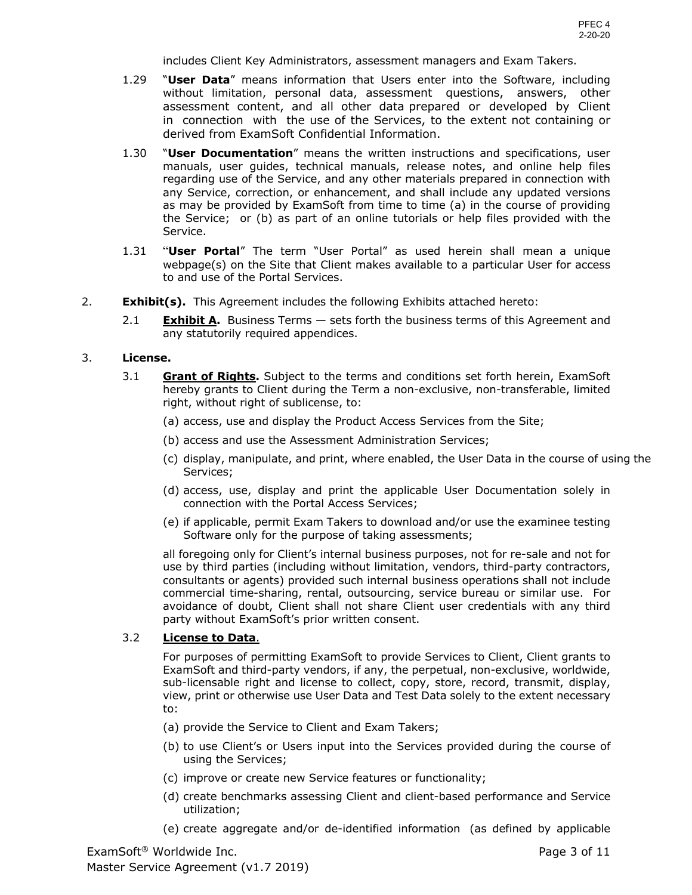includes Client Key Administrators, assessment managers and Exam Takers.

- 1.29 "**User Data**" means information that Users enter into the Software, including without limitation, personal data, assessment questions, answers, other assessment content, and all other data prepared or developed by Client in connection with the use of the Services, to the extent not containing or derived from ExamSoft Confidential Information.
- 1.30 "**User Documentation**" means the written instructions and specifications, user manuals, user guides, technical manuals, release notes, and online help files regarding use of the Service, and any other materials prepared in connection with any Service, correction, or enhancement, and shall include any updated versions as may be provided by ExamSoft from time to time (a) in the course of providing the Service; or (b) as part of an online tutorials or help files provided with the Service.
- 1.31 "**User Portal**" The term "User Portal" as used herein shall mean a unique webpage(s) on the Site that Client makes available to a particular User for access to and use of the Portal Services.
- 2. **Exhibit(s).** This Agreement includes the following Exhibits attached hereto:
	- 2.1 **Exhibit A.** Business Terms sets forth the business terms of this Agreement and any statutorily required appendices.

### 3. **License.**

- 3.1 **Grant of Rights.** Subject to the terms and conditions set forth herein, ExamSoft hereby grants to Client during the Term a non-exclusive, non-transferable, limited right, without right of sublicense, to:
	- (a) access, use and display the Product Access Services from the Site;
	- (b) access and use the Assessment Administration Services;
	- (c) display, manipulate, and print, where enabled, the User Data in the course of using the Services;
	- (d) access, use, display and print the applicable User Documentation solely in connection with the Portal Access Services;
	- (e) if applicable, permit Exam Takers to download and/or use the examinee testing Software only for the purpose of taking assessments;

 all foregoing only for Client's internal business purposes, not for re-sale and not for use by third parties (including without limitation, vendors, third-party contractors, consultants or agents) provided such internal business operations shall not include commercial time-sharing, rental, outsourcing, service bureau or similar use. For avoidance of doubt, Client shall not share Client user credentials with any third party without ExamSoft's prior written consent.

### 3.2 **License to Data**.

 For purposes of permitting ExamSoft to provide Services to Client, Client grants to ExamSoft and third-party vendors, if any, the perpetual, non-exclusive, worldwide, sub-licensable right and license to collect, copy, store, record, transmit, display, view, print or otherwise use User Data and Test Data solely to the extent necessary to:

- (a) provide the Service to Client and Exam Takers;
- (b) to use Client's or Users input into the Services provided during the course of using the Services;
- (c) improve or create new Service features or functionality;
- (d) create benchmarks assessing Client and client-based performance and Service utilization;
- (e) create aggregate and/or de-identified information (as defined by applicable

 Master Service Agreement (v1.7 2019) ExamSoft<sup>®</sup> Worldwide Inc. **Page 3 of 11** and the examSoft<sup>®</sup> Worldwide Inc.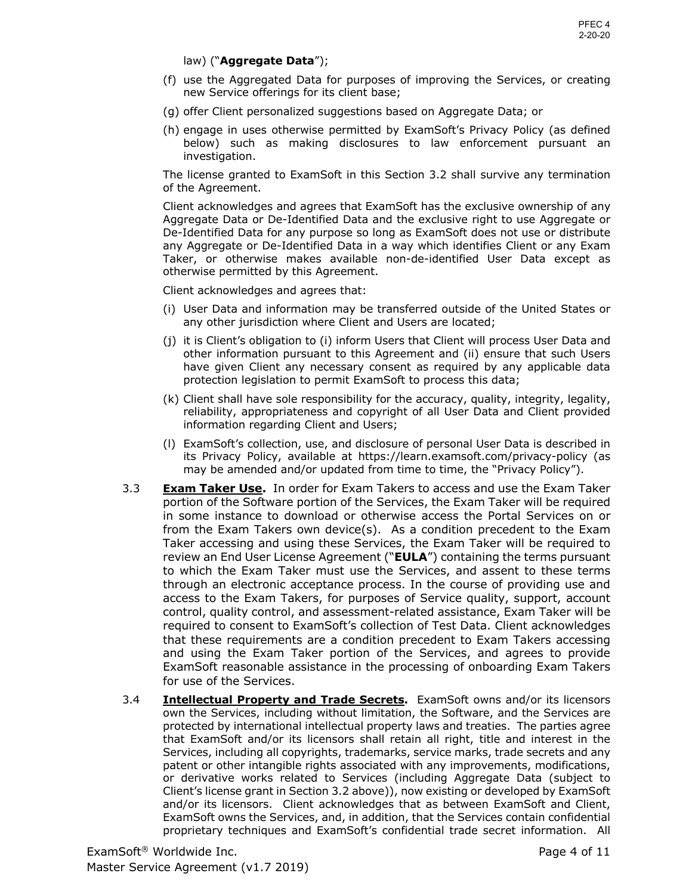### law) ("**Aggregate Data**");

- (f) use the Aggregated Data for purposes of improving the Services, or creating new Service offerings for its client base;
- (g) offer Client personalized suggestions based on Aggregate Data; or
- below) such as making disclosures to law enforcement pursuant an investigation. (h) engage in uses otherwise permitted by ExamSoft's Privacy Policy (as defined

 investigation. The license granted to ExamSoft in this Section 3.2 shall survive any termination of the Agreement.

 Client acknowledges and agrees that ExamSoft has the exclusive ownership of any Aggregate Data or De-Identified Data and the exclusive right to use Aggregate or De-Identified Data for any purpose so long as ExamSoft does not use or distribute any Aggregate or De-Identified Data in a way which identifies Client or any Exam Taker, or otherwise makes available non-de-identified User Data except as otherwise permitted by this Agreement.

Client acknowledges and agrees that:

- (i) User Data and information may be transferred outside of the United States or any other jurisdiction where Client and Users are located;
- (j) it is Client's obligation to (i) inform Users that Client will process User Data and other information pursuant to this Agreement and (ii) ensure that such Users have given Client any necessary consent as required by any applicable data protection legislation to permit ExamSoft to process this data;
- (k) Client shall have sole responsibility for the accuracy, quality, integrity, legality, reliability, appropriateness and copyright of all User Data and Client provided information regarding Client and Users;
- (l) ExamSoft's collection, use, and disclosure of personal User Data is described in its Privacy Policy, available at https://learn.examsoft.com/privacy-policy (as may be amended and/or updated from time to time, the "Privacy Policy").
- 3.3 **Exam Taker Use.** In order for Exam Takers to access and use the Exam Taker portion of the Software portion of the Services, the Exam Taker will be required in some instance to download or otherwise access the Portal Services on or from the Exam Takers own device(s). As a condition precedent to the Exam Taker accessing and using these Services, the Exam Taker will be required to review an End User License Agreement ("**EULA**") containing the terms pursuant to which the Exam Taker must use the Services, and assent to these terms access to the Exam Takers, for purposes of Service quality, support, account control, quality control, and assessment-related assistance, Exam Taker will be required to consent to ExamSoft's collection of Test Data. Client acknowledges that these requirements are a condition precedent to Exam Takers accessing and using the Exam Taker portion of the Services, and agrees to provide ExamSoft reasonable assistance in the processing of onboarding Exam Takers through an electronic acceptance process. In the course of providing use and for use of the Services.
- 3.4 **Intellectual Property and Trade Secrets.** ExamSoft owns and/or its licensors protected by international intellectual property laws and treaties. The parties agree that ExamSoft and/or its licensors shall retain all right, title and interest in the Services, including all copyrights, trademarks, service marks, trade secrets and any patent or other intangible rights associated with any improvements, modifications, Client's license grant in Section 3.2 above)), now existing or developed by ExamSoft and/or its licensors. Client acknowledges that as between ExamSoft and Client, ExamSoft owns the Services, and, in addition, that the Services contain confidential proprietary techniques and ExamSoft's confidential trade secret information. All own the Services, including without limitation, the Software, and the Services are or derivative works related to Services (including Aggregate Data (subject to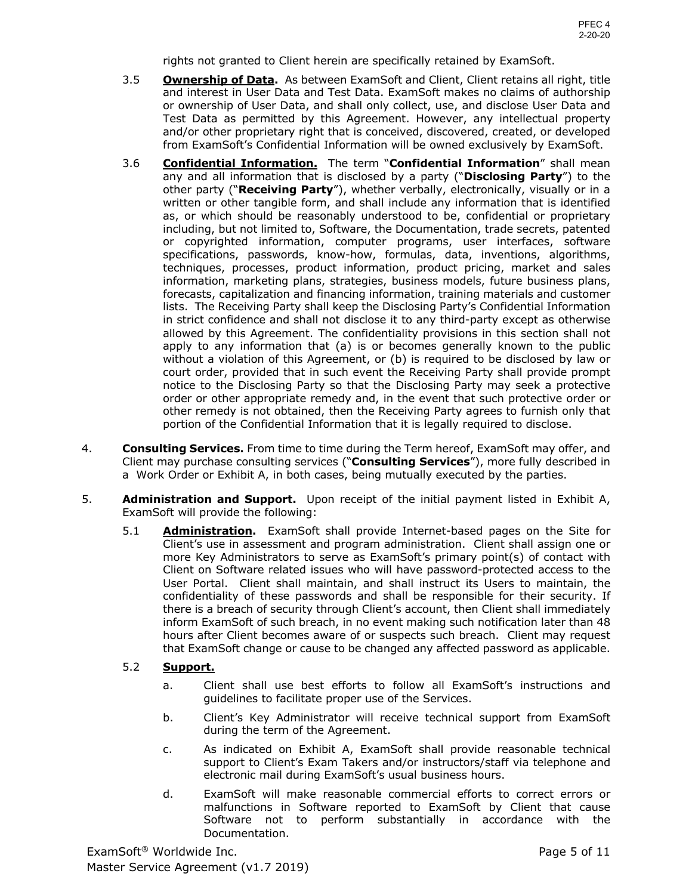rights not granted to Client herein are specifically retained by ExamSoft.

- 3.5 **Ownership of Data.** As between ExamSoft and Client, Client retains all right, title and interest in User Data and Test Data. ExamSoft makes no claims of authorship or ownership of User Data, and shall only collect, use, and disclose User Data and Test Data as permitted by this Agreement. However, any intellectual property and/or other proprietary right that is conceived, discovered, created, or developed from ExamSoft's Confidential Information will be owned exclusively by ExamSoft.
- 3.6 **Confidential Information.** The term "**Confidential Information**" shall mean any and all information that is disclosed by a party ("**Disclosing Party**") to the other party ("**Receiving Party**"), whether verbally, electronically, visually or in a written or other tangible form, and shall include any information that is identified as, or which should be reasonably understood to be, confidential or proprietary including, but not limited to, Software, the Documentation, trade secrets, patented or copyrighted information, computer programs, user interfaces, software specifications, passwords, know-how, formulas, data, inventions, algorithms, techniques, processes, product information, product pricing, market and sales information, marketing plans, strategies, business models, future business plans, forecasts, capitalization and financing information, training materials and customer lists. The Receiving Party shall keep the Disclosing Party's Confidential Information in strict confidence and shall not disclose it to any third-party except as otherwise allowed by this Agreement. The confidentiality provisions in this section shall not apply to any information that (a) is or becomes generally known to the public without a violation of this Agreement, or (b) is required to be disclosed by law or court order, provided that in such event the Receiving Party shall provide prompt order or other appropriate remedy and, in the event that such protective order or other remedy is not obtained, then the Receiving Party agrees to furnish only that portion of the Confidential Information that it is legally required to disclose. notice to the Disclosing Party so that the Disclosing Party may seek a protective
- 4. **Consulting Services.** From time to time during the Term hereof, ExamSoft may offer, and Client may purchase consulting services ("**Consulting Services**"), more fully described in a Work Order or Exhibit A, in both cases, being mutually executed by the parties.
- 5. **Administration and Support.** Upon receipt of the initial payment listed in Exhibit A, ExamSoft will provide the following:
	- 5.1 **Administration.** ExamSoft shall provide Internet-based pages on the Site for Client's use in assessment and program administration. Client shall assign one or more Key Administrators to serve as ExamSoft's primary point(s) of contact with Client on Software related issues who will have password-protected access to the User Portal. Client shall maintain, and shall instruct its Users to maintain, the confidentiality of these passwords and shall be responsible for their security. If there is a breach of security through Client's account, then Client shall immediately inform ExamSoft of such breach, in no event making such notification later than 48 hours after Client becomes aware of or suspects such breach. Client may request that ExamSoft change or cause to be changed any affected password as applicable.

## 5.2 **Support.**

- a. Client shall use best efforts to follow all ExamSoft's instructions and guidelines to facilitate proper use of the Services.
- b. Client's Key Administrator will receive technical support from ExamSoft during the term of the Agreement.
- c. As indicated on Exhibit A, ExamSoft shall provide reasonable technical support to Client's Exam Takers and/or instructors/staff via telephone and electronic mail during ExamSoft's usual business hours.
- d. ExamSoft will make reasonable commercial efforts to correct errors or malfunctions in Software reported to ExamSoft by Client that cause Software not to perform substantially in accordance with the Documentation.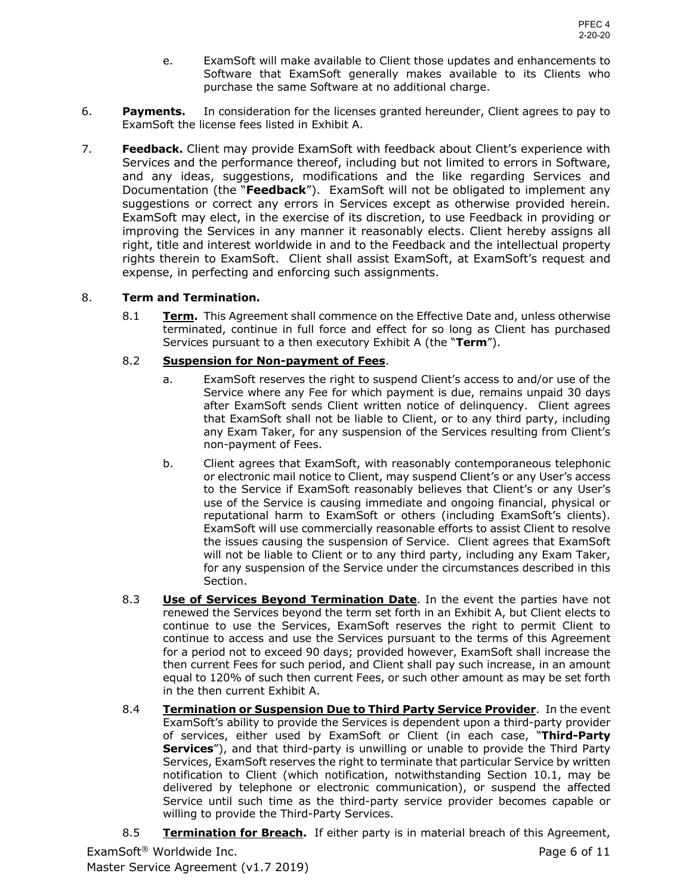- e. ExamSoft will make available to Client those updates and enhancements to Software that ExamSoft generally makes available to its Clients who purchase the same Software at no additional charge.
- **Payments.**  ExamSoft the license fees listed in Exhibit A. 6. **Payments.** In consideration for the licenses granted hereunder, Client agrees to pay to
- 7. **Feedback.** Client may provide ExamSoft with feedback about Client's experience with Services and the performance thereof, including but not limited to errors in Software, Documentation (the "**Feedback**"). ExamSoft will not be obligated to implement any suggestions or correct any errors in Services except as otherwise provided herein. ExamSoft may elect, in the exercise of its discretion, to use Feedback in providing or improving the Services in any manner it reasonably elects. Client hereby assigns all right, title and interest worldwide in and to the Feedback and the intellectual property rights therein to ExamSoft. Client shall assist ExamSoft, at ExamSoft's request and and any ideas, suggestions, modifications and the like regarding Services and expense, in perfecting and enforcing such assignments.

### 8. **Term and Termination.**

 8.1 **Term.** This Agreement shall commence on the Effective Date and, unless otherwise terminated, continue in full force and effect for so long as Client has purchased Services pursuant to a then executory Exhibit A (the "**Term**").

## 8.2 **Suspension for Non-payment of Fees**.

- a. ExamSoft reserves the right to suspend Client's access to and/or use of the Service where any Fee for which payment is due, remains unpaid 30 days after ExamSoft sends Client written notice of delinquency. Client agrees that ExamSoft shall not be liable to Client, or to any third party, including any Exam Taker, for any suspension of the Services resulting from Client's non-payment of Fees.
- b. Client agrees that ExamSoft, with reasonably contemporaneous telephonic or electronic mail notice to Client, may suspend Client's or any User's access to the Service if ExamSoft reasonably believes that Client's or any User's use of the Service is causing immediate and ongoing financial, physical or reputational harm to ExamSoft or others (including ExamSoft's clients). ExamSoft will use commercially reasonable efforts to assist Client to resolve the issues causing the suspension of Service. Client agrees that ExamSoft will not be liable to Client or to any third party, including any Exam Taker, for any suspension of the Service under the circumstances described in this Section.
- Section.<br>8.3 **Use of Services Beyond Termination Date**. In the event the parties have not renewed the Services beyond the term set forth in an Exhibit A, but Client elects to continue to use the Services, ExamSoft reserves the right to permit Client to continue to access and use the Services pursuant to the terms of this Agreement for a period not to exceed 90 days; provided however, ExamSoft shall increase the then current Fees for such period, and Client shall pay such increase, in an amount equal to 120% of such then current Fees, or such other amount as may be set forth in the then current Exhibit A.
- 8.4 **Termination or Suspension Due to Third Party Service Provider**. In the event ExamSoft's ability to provide the Services is dependent upon a third-party provider of services, either used by ExamSoft or Client (in each case, "**Third-Party Services**"), and that third-party is unwilling or unable to provide the Third Party Services, ExamSoft reserves the right to terminate that particular Service by written notification to Client (which notification, notwithstanding Section 10.1, may be delivered by telephone or electronic communication), or suspend the affected Service until such time as the third-party service provider becomes capable or willing to provide the Third-Party Services.
- 8.5 **Termination for Breach.** If either party is in material breach of this Agreement,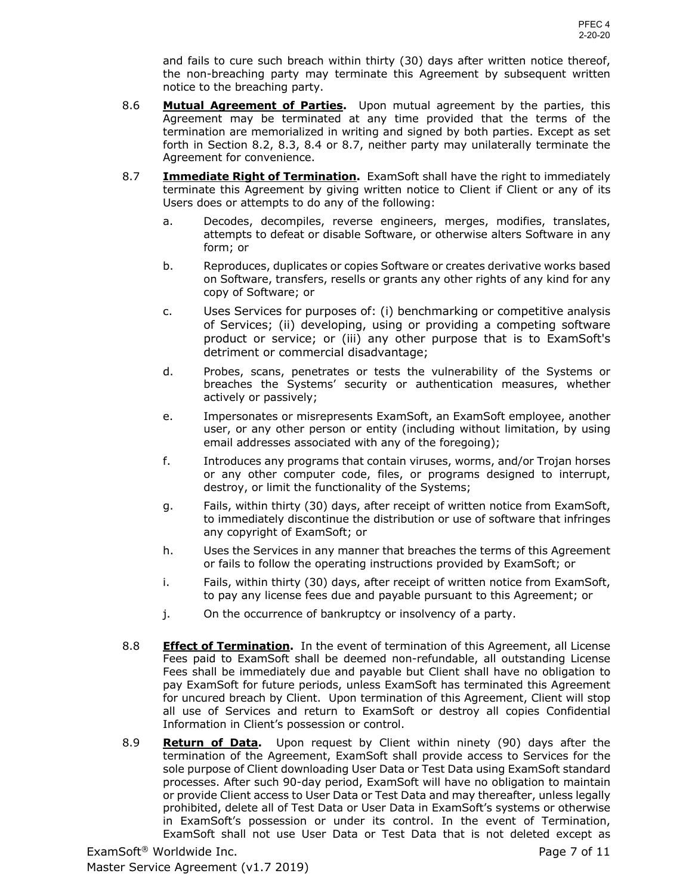and fails to cure such breach within thirty (30) days after written notice thereof, the non-breaching party may terminate this Agreement by subsequent written notice to the breaching party.

- 8.6 **Mutual Agreement of Parties.** Upon mutual agreement by the parties, this Agreement may be terminated at any time provided that the terms of the termination are memorialized in writing and signed by both parties. Except as set forth in Section 8.2, 8.3, 8.4 or 8.7, neither party may unilaterally terminate the Agreement for convenience.
- 8.7 **Immediate Right of Termination.** ExamSoft shall have the right to immediately terminate this Agreement by giving written notice to Client if Client or any of its Users does or attempts to do any of the following:
	- a. Decodes, decompiles, reverse engineers, merges, modifies, translates, attempts to defeat or disable Software, or otherwise alters Software in any form; or
	- b. Reproduces, duplicates or copies Software or creates derivative works based on Software, transfers, resells or grants any other rights of any kind for any copy of Software; or
	- c. Uses Services for purposes of: (i) benchmarking or competitive analysis of Services; (ii) developing, using or providing a competing software product or service; or (iii) any other purpose that is to ExamSoft's detriment or commercial disadvantage;
	- d. Probes, scans, penetrates or tests the vulnerability of the Systems or breaches the Systems' security or authentication measures, whether actively or passively;
	- e. Impersonates or misrepresents ExamSoft, an ExamSoft employee, another user, or any other person or entity (including without limitation, by using email addresses associated with any of the foregoing);
	- f. Introduces any programs that contain viruses, worms, and/or Trojan horses or any other computer code, files, or programs designed to interrupt, destroy, or limit the functionality of the Systems;
	- g. Fails, within thirty (30) days, after receipt of written notice from ExamSoft, to immediately discontinue the distribution or use of software that infringes any copyright of ExamSoft; or
	- h. Uses the Services in any manner that breaches the terms of this Agreement or fails to follow the operating instructions provided by ExamSoft; or
	- i. Fails, within thirty (30) days, after receipt of written notice from ExamSoft, to pay any license fees due and payable pursuant to this Agreement; or
	- j. On the occurrence of bankruptcy or insolvency of a party.
- 8.8 **Effect of Termination.** In the event of termination of this Agreement, all License Fees paid to ExamSoft shall be deemed non-refundable, all outstanding License Fees shall be immediately due and payable but Client shall have no obligation to pay ExamSoft for future periods, unless ExamSoft has terminated this Agreement for uncured breach by Client. Upon termination of this Agreement, Client will stop all use of Services and return to ExamSoft or destroy all copies Confidential Information in Client's possession or control.
- 8.9 **Return of Data.** Upon request by Client within ninety (90) days after the termination of the Agreement, ExamSoft shall provide access to Services for the sole purpose of Client downloading User Data or Test Data using ExamSoft standard processes. After such 90-day period, ExamSoft will have no obligation to maintain or provide Client access to User Data or Test Data and may thereafter, unless legally prohibited, delete all of Test Data or User Data in ExamSoft's systems or otherwise in ExamSoft's possession or under its control. In the event of Termination, ExamSoft shall not use User Data or Test Data that is not deleted except as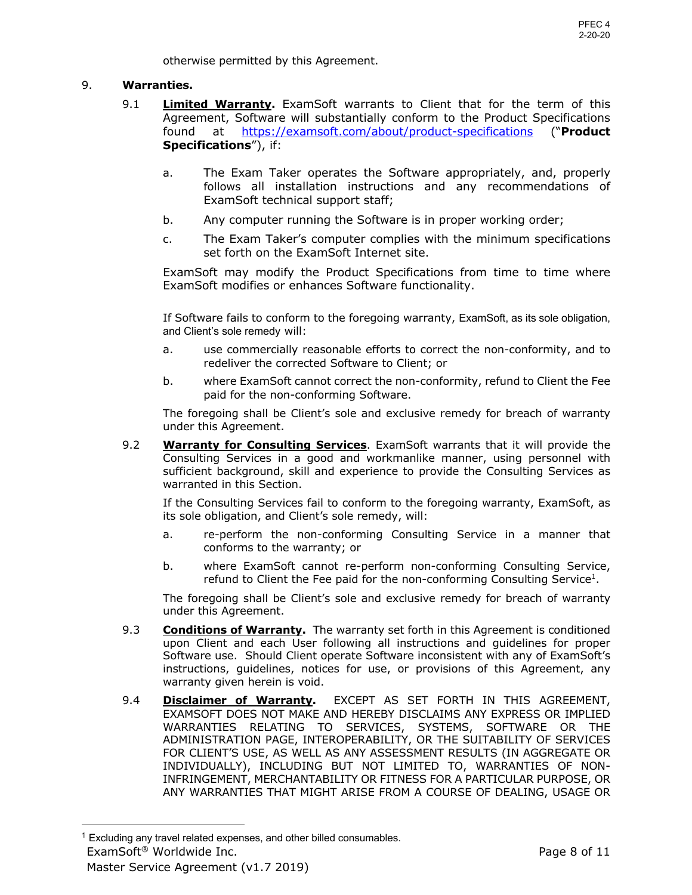otherwise permitted by this Agreement.

## 9. **Warranties.**

- 9.1 **Limited Warranty.** ExamSoft warrants to Client that for the term of this Agreement, Software will substantially conform to the Product Specifications found at https://examsoft.com/about/product-specifications ("**Product Specifications**"), if:
	- a. The Exam Taker operates the Software appropriately, and, properly follows all installation instructions and any recommendations of ExamSoft technical support staff;
	- b. Any computer running the Software is in proper working order;
	- c. The Exam Taker's computer complies with the minimum specifications set forth on the ExamSoft Internet site.

 ExamSoft may modify the Product Specifications from time to time where ExamSoft modifies or enhances Software functionality.

 If Software fails to conform to the foregoing warranty, ExamSoft, as its sole obligation, and Client's sole remedy will:

- a. use commercially reasonable efforts to correct the non-conformity, and to redeliver the corrected Software to Client; or
- b. Ching where ExamSoft cannot correct the non-conformity, refund to Client the Fee paid for the non-conforming Software.

 The foregoing shall be Client's sole and exclusive remedy for breach of warranty under this Agreement.

9.2 **Warranty for Consulting Services**. ExamSoft warrants that it will provide the Consulting Services in a good and workmanlike manner, using personnel with sufficient background, skill and experience to provide the Consulting Services as warranted in this Section.

 If the Consulting Services fail to conform to the foregoing warranty, ExamSoft, as its sole obligation, and Client's sole remedy, will:

- a. re-perform the non-conforming Consulting Service in a manner that conforms to the warranty; or
- b. where ExamSoft cannot re-perform non-conforming Consulting Service, refund to Client the Fee paid for the non-conforming Consulting Service<sup>1</sup>.

 The foregoing shall be Client's sole and exclusive remedy for breach of warranty under this Agreement.

- 9.3 **Conditions of Warranty.** The warranty set forth in this Agreement is conditioned upon Client and each User following all instructions and guidelines for proper Software use. Should Client operate Software inconsistent with any of ExamSoft's instructions, guidelines, notices for use, or provisions of this Agreement, any warranty given herein is void.
- 9.4 **Disclaimer of Warranty.** EXCEPT AS SET FORTH IN THIS AGREEMENT, EXAMSOFT DOES NOT MAKE AND HEREBY DISCLAIMS ANY EXPRESS OR IMPLIED WARRANTIES RELATING TO SERVICES, SYSTEMS, SOFTWARE OR THE ADMINISTRATION PAGE, INTEROPERABILITY, OR THE SUITABILITY OF SERVICES FOR CLIENT'S USE, AS WELL AS ANY ASSESSMENT RESULTS (IN AGGREGATE OR INDIVIDUALLY), INCLUDING BUT NOT LIMITED TO, WARRANTIES OF NON- INFRINGEMENT, MERCHANTABILITY OR FITNESS FOR A PARTICULAR PURPOSE, OR ANY WARRANTIES THAT MIGHT ARISE FROM A COURSE OF DEALING, USAGE OR

 Master Service Agreement (v1.7 2019)  $1$  Excluding any travel related expenses, and other billed consumables. ExamSoft<sup>®</sup> Worldwide Inc. **Page 8 of 11** and the examSoft<sup>®</sup> Worldwide Inc.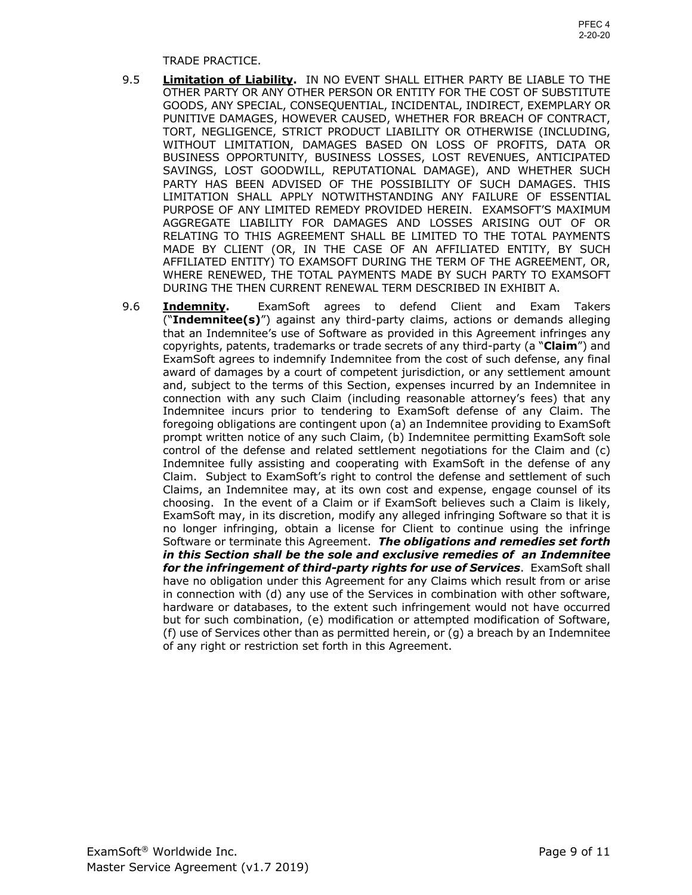#### TRADE PRACTICE.

- 9.5 **Limitation of Liability.** IN NO EVENT SHALL EITHER PARTY BE LIABLE TO THE OTHER PARTY OR ANY OTHER PERSON OR ENTITY FOR THE COST OF SUBSTITUTE GOODS, ANY SPECIAL, CONSEQUENTIAL, INCIDENTAL, INDIRECT, EXEMPLARY OR PUNITIVE DAMAGES, HOWEVER CAUSED, WHETHER FOR BREACH OF CONTRACT, WITHOUT LIMITATION, DAMAGES BASED ON LOSS OF PROFITS, DATA OR SAVINGS, LOST GOODWILL, REPUTATIONAL DAMAGE), AND WHETHER SUCH PARTY HAS BEEN ADVISED OF THE POSSIBILITY OF SUCH DAMAGES. THIS PURPOSE OF ANY LIMITED REMEDY PROVIDED HEREIN. EXAMSOFT'S MAXIMUM AGGREGATE LIABILITY FOR DAMAGES AND LOSSES ARISING OUT OF OR RELATING TO THIS AGREEMENT SHALL BE LIMITED TO THE TOTAL PAYMENTS MADE BY CLIENT (OR, IN THE CASE OF AN AFFILIATED ENTITY, BY SUCH AFFILIATED ENTITY) TO EXAMSOFT DURING THE TERM OF THE AGREEMENT, OR, WHERE RENEWED, THE TOTAL PAYMENTS MADE BY SUCH PARTY TO EXAMSOFT DURING THE THEN CURRENT RENEWAL TERM DESCRIBED IN EXHIBIT A. TORT, NEGLIGENCE, STRICT PRODUCT LIABILITY OR OTHERWISE (INCLUDING, BUSINESS OPPORTUNITY, BUSINESS LOSSES, LOST REVENUES, ANTICIPATED LIMITATION SHALL APPLY NOTWITHSTANDING ANY FAILURE OF ESSENTIAL
- 9.6 **Indemnity.** ExamSoft agrees to defend Client and Exam Takers ("**Indemnitee(s)**") against any third-party claims, actions or demands alleging that an Indemnitee's use of Software as provided in this Agreement infringes any copyrights, patents, trademarks or trade secrets of any third-party (a "**Claim**") and ExamSoft agrees to indemnify Indemnitee from the cost of such defense, any final award of damages by a court of competent jurisdiction, or any settlement amount and, subject to the terms of this Section, expenses incurred by an Indemnitee in connection with any such Claim (including reasonable attorney's fees) that any Indemnitee incurs prior to tendering to ExamSoft defense of any Claim. The foregoing obligations are contingent upon (a) an Indemnitee providing to ExamSoft prompt written notice of any such Claim, (b) Indemnitee permitting ExamSoft sole control of the defense and related settlement negotiations for the Claim and (c) Indemnitee fully assisting and cooperating with ExamSoft in the defense of any Claim. Subject to ExamSoft's right to control the defense and settlement of such Claims, an Indemnitee may, at its own cost and expense, engage counsel of its choosing. In the event of a Claim or if ExamSoft believes such a Claim is likely, ExamSoft may, in its discretion, modify any alleged infringing Software so that it is no longer infringing, obtain a license for Client to continue using the infringe Software or terminate this Agreement. *The obligations and remedies set forth in this Section shall be the sole and exclusive remedies of an Indemnitee for the infringement of third-party rights for use of Services*. ExamSoft shall have no obligation under this Agreement for any Claims which result from or arise in connection with (d) any use of the Services in combination with other software, but for such combination, (e) modification or attempted modification of Software, (f) use of Services other than as permitted herein, or (g) a breach by an Indemnitee of any right or restriction set forth in this Agreement. hardware or databases, to the extent such infringement would not have occurred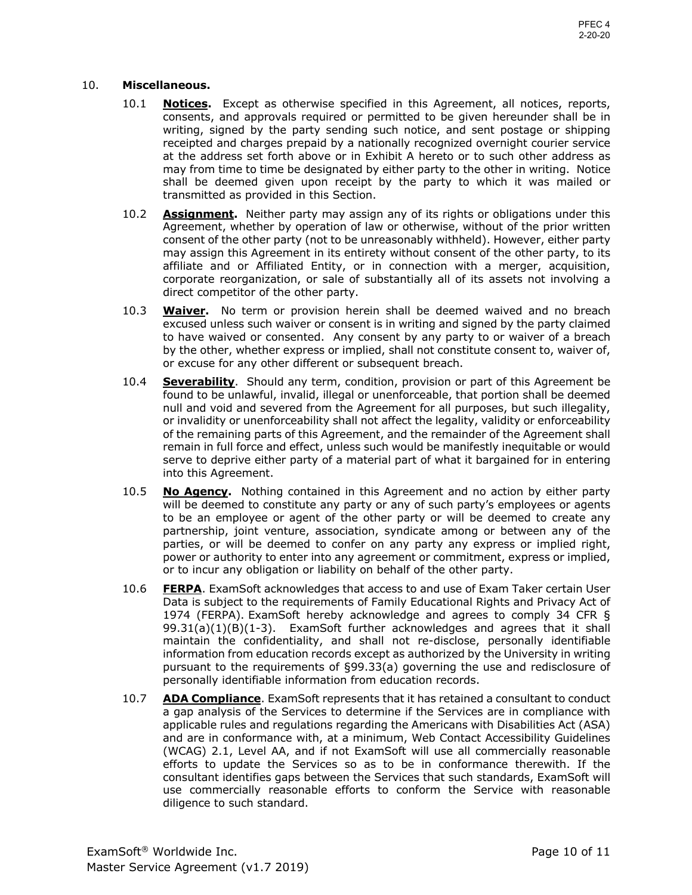### 10. **Miscellaneous.**

- 10.1 **Notices.** Except as otherwise specified in this Agreement, all notices, reports, consents, and approvals required or permitted to be given hereunder shall be in writing, signed by the party sending such notice, and sent postage or shipping receipted and charges prepaid by a nationally recognized overnight courier service at the address set forth above or in Exhibit A hereto or to such other address as may from time to time be designated by either party to the other in writing. Notice shall be deemed given upon receipt by the party to which it was mailed or transmitted as provided in this Section.
- 10.2 **Assignment.** Neither party may assign any of its rights or obligations under this Agreement, whether by operation of law or otherwise, without of the prior written consent of the other party (not to be unreasonably withheld). However, either party may assign this Agreement in its entirety without consent of the other party, to its affiliate and or Affiliated Entity, or in connection with a merger, acquisition, corporate reorganization, or sale of substantially all of its assets not involving a direct competitor of the other party.
- 10.3 **Waiver.** No term or provision herein shall be deemed waived and no breach excused unless such waiver or consent is in writing and signed by the party claimed to have waived or consented. Any consent by any party to or waiver of a breach by the other, whether express or implied, shall not constitute consent to, waiver of, or excuse for any other different or subsequent breach.
- 10.4 **Severability**. Should any term, condition, provision or part of this Agreement be found to be unlawful, invalid, illegal or unenforceable, that portion shall be deemed null and void and severed from the Agreement for all purposes, but such illegality, or invalidity or unenforceability shall not affect the legality, validity or enforceability of the remaining parts of this Agreement, and the remainder of the Agreement shall remain in full force and effect, unless such would be manifestly inequitable or would serve to deprive either party of a material part of what it bargained for in entering into this Agreement.
- 10.5 **No Agency.** Nothing contained in this Agreement and no action by either party will be deemed to constitute any party or any of such party's employees or agents to be an employee or agent of the other party or will be deemed to create any partnership, joint venture, association, syndicate among or between any of the parties, or will be deemed to confer on any party any express or implied right, power or authority to enter into any agreement or commitment, express or implied, or to incur any obligation or liability on behalf of the other party.
- 10.6 **FERPA**. ExamSoft acknowledges that access to and use of Exam Taker certain User Data is subject to the requirements of Family Educational Rights and Privacy Act of 99.31(a)(1)(B)(1-3). ExamSoft further acknowledges and agrees that it shall maintain the confidentiality, and shall not re-disclose, personally identifiable information from education records except as authorized by the University in writing pursuant to the requirements of §99.33(a) governing the use and redisclosure of 1974 (FERPA). ExamSoft hereby acknowledge and agrees to comply 34 CFR § personally identifiable information from education records.
- 10.7 **ADA Compliance**. ExamSoft represents that it has retained a consultant to conduct a gap analysis of the Services to determine if the Services are in compliance with applicable rules and regulations regarding the Americans with Disabilities Act (ASA) and are in conformance with, at a minimum, Web Contact Accessibility Guidelines (WCAG) 2.1, Level AA, and if not ExamSoft will use all commercially reasonable efforts to update the Services so as to be in conformance therewith. If the consultant identifies gaps between the Services that such standards, ExamSoft will use commercially reasonable efforts to conform the Service with reasonable diligence to such standard.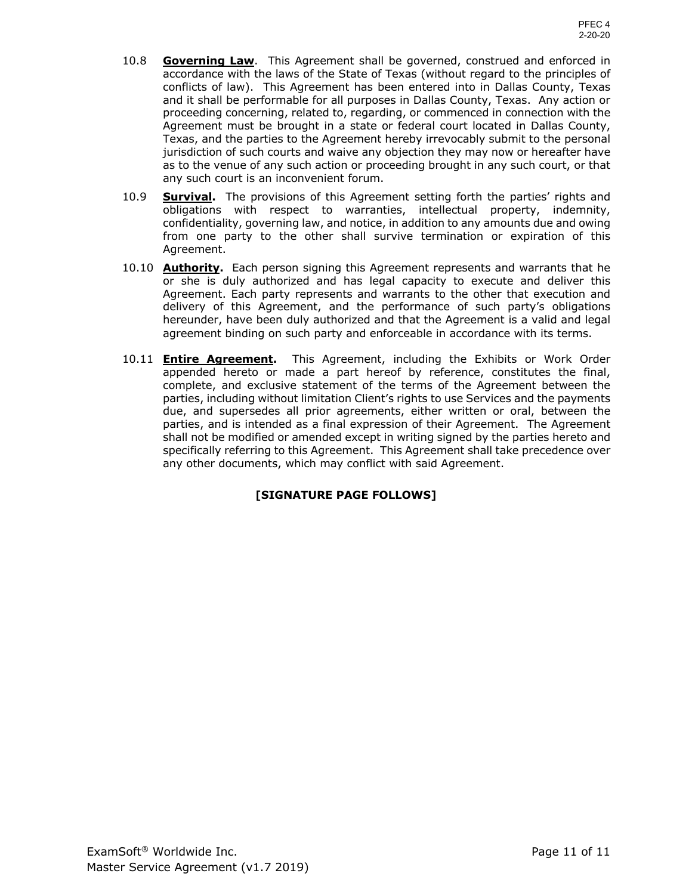- 10.8 **Governing Law**. This Agreement shall be governed, construed and enforced in accordance with the laws of the State of Texas (without regard to the principles of conflicts of law). This Agreement has been entered into in Dallas County, Texas and it shall be performable for all purposes in Dallas County, Texas. Any action or proceeding concerning, related to, regarding, or commenced in connection with the Agreement must be brought in a state or federal court located in Dallas County, jurisdiction of such courts and waive any objection they may now or hereafter have as to the venue of any such action or proceeding brought in any such court, or that any such court is an inconvenient forum. Texas, and the parties to the Agreement hereby irrevocably submit to the personal
- 10.9 **Survival.** The provisions of this Agreement setting forth the parties' rights and confidentiality, governing law, and notice, in addition to any amounts due and owing from one party to the other shall survive termination or expiration of this obligations with respect to warranties, intellectual property, indemnity, Agreement.
- 10.10 **Authority.** Each person signing this Agreement represents and warrants that he or she is duly authorized and has legal capacity to execute and deliver this Agreement. Each party represents and warrants to the other that execution and delivery of this Agreement, and the performance of such party's obligations hereunder, have been duly authorized and that the Agreement is a valid and legal agreement binding on such party and enforceable in accordance with its terms.
- 10.11 **Entire Agreement.** This Agreement, including the Exhibits or Work Order appended hereto or made a part hereof by reference, constitutes the final, complete, and exclusive statement of the terms of the Agreement between the parties, including without limitation Client's rights to use Services and the payments due, and supersedes all prior agreements, either written or oral, between the parties, and is intended as a final expression of their Agreement. The Agreement shall not be modified or amended except in writing signed by the parties hereto and specifically referring to this Agreement. This Agreement shall take precedence over any other documents, which may conflict with said Agreement.

## **[SIGNATURE PAGE FOLLOWS]**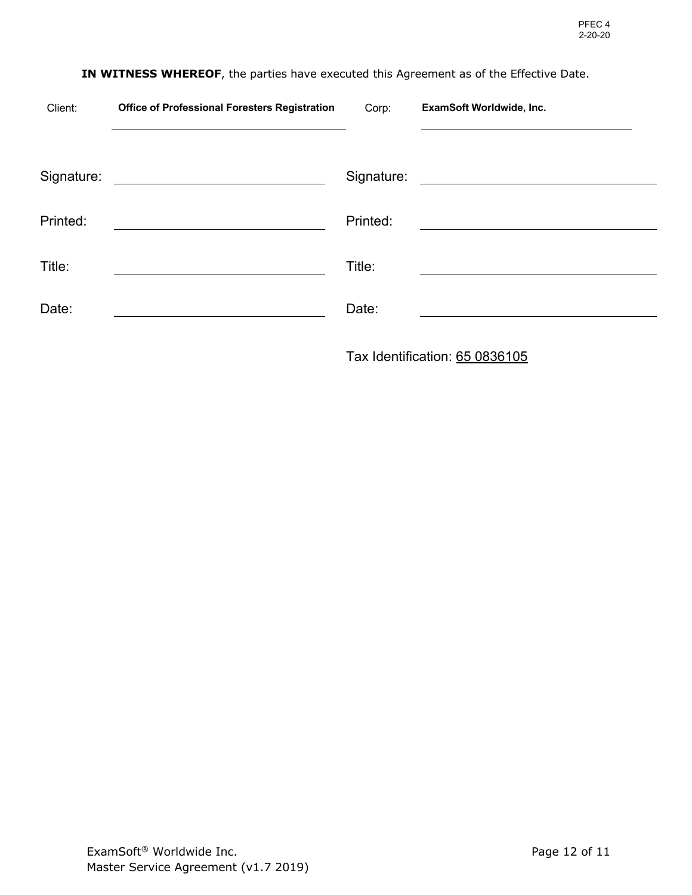| Client:    | <b>Office of Professional Foresters Registration</b> | Corp:      | ExamSoft Worldwide, Inc.                                                                                             |
|------------|------------------------------------------------------|------------|----------------------------------------------------------------------------------------------------------------------|
|            |                                                      |            |                                                                                                                      |
| Signature: | <u> 1986 - Johann Stein, fransk kampens og f</u>     | Signature: | <u> 1980 - Jan Stein Stein Stein Stein Stein Stein Stein Stein Stein Stein Stein Stein Stein Stein Stein Stein S</u> |
| Printed:   |                                                      | Printed:   |                                                                                                                      |
| Title:     |                                                      | Title:     |                                                                                                                      |
| Date:      |                                                      | Date:      |                                                                                                                      |
|            |                                                      |            |                                                                                                                      |

## **IN WITNESS WHEREOF**, the parties have executed this Agreement as of the Effective Date.

Tax Identification: 65 0836105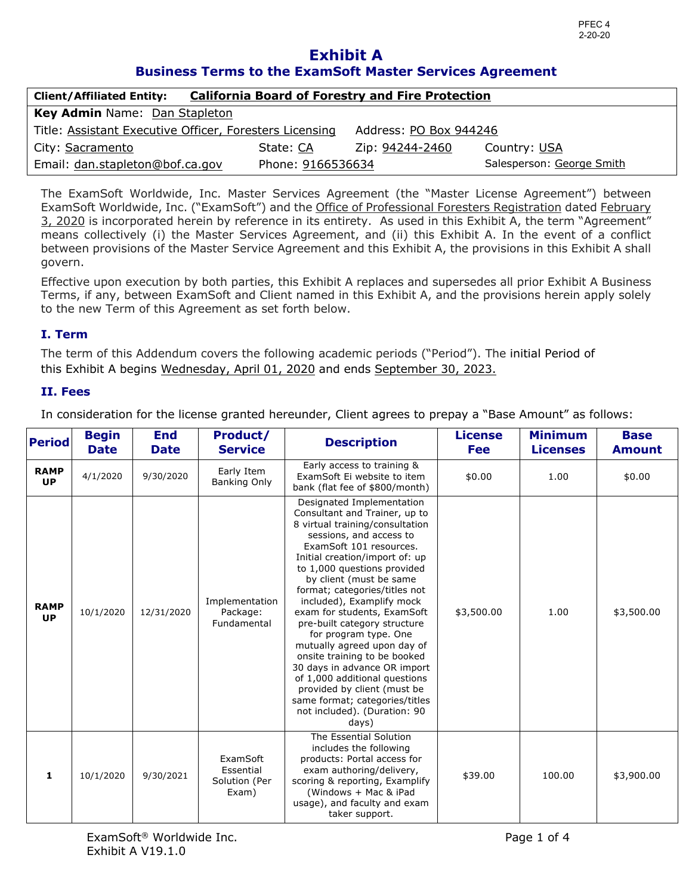## **Business Terms to the ExamSoft Master Services Agreement Exhibit A**

| <b>Client/Affiliated Entity:</b>                                                  |                   | <b>California Board of Forestry and Fire Protection</b> |                           |  |  |  |
|-----------------------------------------------------------------------------------|-------------------|---------------------------------------------------------|---------------------------|--|--|--|
| Key Admin Name: Dan Stapleton                                                     |                   |                                                         |                           |  |  |  |
| Address: PO Box 944246<br>Title: Assistant Executive Officer, Foresters Licensing |                   |                                                         |                           |  |  |  |
| City: Sacramento                                                                  | State: CA         | Zip: <u>94244-2</u> 460                                 | Country: USA              |  |  |  |
| Email: dan.stapleton@bof.ca.gov                                                   | Phone: 9166536634 |                                                         | Salesperson: George Smith |  |  |  |

 The ExamSoft Worldwide, Inc. Master Services Agreement (the "Master License Agreement") between ExamSoft Worldwide, Inc. ("ExamSoft") and the Office of Professional Foresters Registration dated February 3, 2020 is incorporated herein by reference in its entirety. As used in this Exhibit A, the term "Agreement" means collectively (i) the Master Services Agreement, and (ii) this Exhibit A. In the event of a conflict between provisions of the Master Service Agreement and this Exhibit A, the provisions in this Exhibit A shall govern.

govern.<br>Effective upon execution by both parties, this Exhibit A replaces and supersedes all prior Exhibit A Business Terms, if any, between ExamSoft and Client named in this Exhibit A, and the provisions herein apply solely to the new Term of this Agreement as set forth below.

## **I. Term**

 The term of this Addendum covers the following academic periods ("Period"). The initial Period of this Exhibit A begins Wednesday, April 01, 2020 and ends September 30, 2023.

## **II. Fees**

In consideration for the license granted hereunder, Client agrees to prepay a "Base Amount" as follows:

| <b>Period</b>            | <b>Begin</b><br><b>Date</b> | <b>End</b><br><b>Date</b> | Product/<br><b>Service</b>                      | <b>Description</b>                                                                                                                                                                                                                                                                                                                                                                                                                                                                                                                                                                                                                              | <b>License</b><br>Fee | <b>Minimum</b><br><b>Licenses</b> | <b>Base</b><br><b>Amount</b> |
|--------------------------|-----------------------------|---------------------------|-------------------------------------------------|-------------------------------------------------------------------------------------------------------------------------------------------------------------------------------------------------------------------------------------------------------------------------------------------------------------------------------------------------------------------------------------------------------------------------------------------------------------------------------------------------------------------------------------------------------------------------------------------------------------------------------------------------|-----------------------|-----------------------------------|------------------------------|
| <b>RAMP</b><br><b>UP</b> | 4/1/2020                    | 9/30/2020                 | Early Item<br>Banking Only                      | Early access to training &<br>ExamSoft Ei website to item<br>bank (flat fee of \$800/month)                                                                                                                                                                                                                                                                                                                                                                                                                                                                                                                                                     | \$0.00                | 1.00                              | \$0.00                       |
| <b>RAMP</b><br><b>UP</b> | 10/1/2020                   | 12/31/2020                | Implementation<br>Package:<br>Fundamental       | Designated Implementation<br>Consultant and Trainer, up to<br>8 virtual training/consultation<br>sessions, and access to<br>ExamSoft 101 resources.<br>Initial creation/import of: up<br>to 1,000 questions provided<br>by client (must be same<br>format; categories/titles not<br>included), Examplify mock<br>exam for students, ExamSoft<br>pre-built category structure<br>for program type. One<br>mutually agreed upon day of<br>onsite training to be booked<br>30 days in advance OR import<br>of 1,000 additional questions<br>provided by client (must be<br>same format; categories/titles<br>not included). (Duration: 90<br>days) | \$3,500.00            | 1.00                              | \$3,500.00                   |
| 1                        | 10/1/2020                   | 9/30/2021                 | ExamSoft<br>Essential<br>Solution (Per<br>Exam) | The Essential Solution<br>includes the following<br>products: Portal access for<br>exam authoring/delivery,<br>scoring & reporting, Examplify<br>(Windows + Mac & iPad<br>usage), and faculty and exam<br>taker support.                                                                                                                                                                                                                                                                                                                                                                                                                        | \$39.00               | 100.00                            | \$3,900.00                   |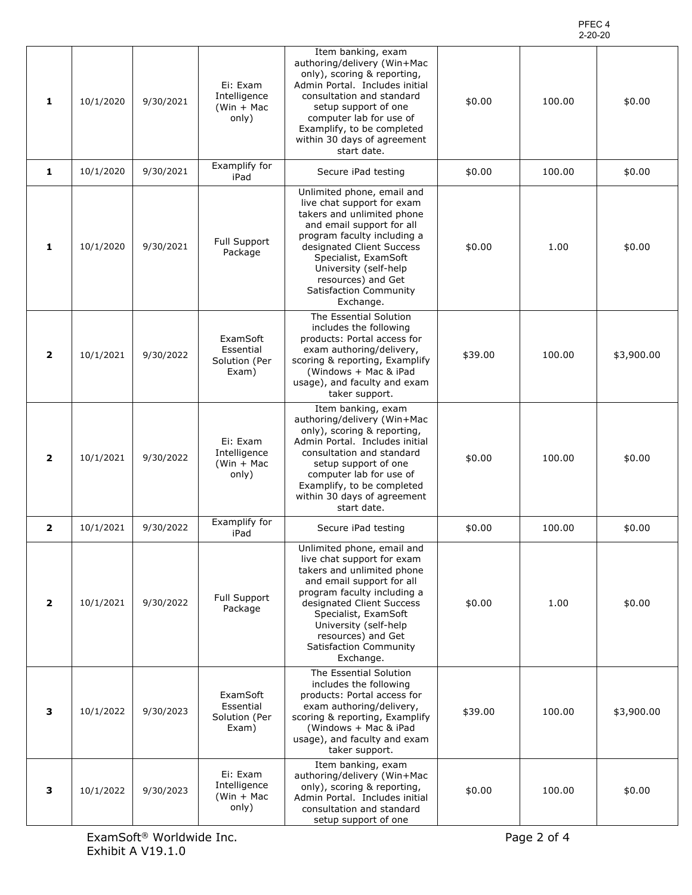#### PFEC 4 2-20-20

| 1              | 10/1/2020 | 9/30/2021 | Ei: Exam<br>Intelligence<br>(Win $+$ Mac<br>only) | Item banking, exam<br>authoring/delivery (Win+Mac<br>only), scoring & reporting,<br>Admin Portal. Includes initial<br>consultation and standard<br>setup support of one<br>computer lab for use of<br>Examplify, to be completed<br>within 30 days of agreement<br>start date.                | \$0.00  | 100.00 | \$0.00     |
|----------------|-----------|-----------|---------------------------------------------------|-----------------------------------------------------------------------------------------------------------------------------------------------------------------------------------------------------------------------------------------------------------------------------------------------|---------|--------|------------|
| 1              | 10/1/2020 | 9/30/2021 | Examplify for<br>iPad                             | Secure iPad testing                                                                                                                                                                                                                                                                           | \$0.00  | 100.00 | \$0.00     |
| 1              | 10/1/2020 | 9/30/2021 | <b>Full Support</b><br>Package                    | Unlimited phone, email and<br>live chat support for exam<br>takers and unlimited phone<br>and email support for all<br>program faculty including a<br>designated Client Success<br>Specialist, ExamSoft<br>University (self-help<br>resources) and Get<br>Satisfaction Community<br>Exchange. | \$0.00  | 1.00   | \$0.00     |
| $\overline{2}$ | 10/1/2021 | 9/30/2022 | ExamSoft<br>Essential<br>Solution (Per<br>Exam)   | The Essential Solution<br>includes the following<br>products: Portal access for<br>exam authoring/delivery,<br>scoring & reporting, Examplify<br>(Windows + Mac & iPad<br>usage), and faculty and exam<br>taker support.                                                                      | \$39.00 | 100.00 | \$3,900.00 |
| $\overline{2}$ | 10/1/2021 | 9/30/2022 | Ei: Exam<br>Intelligence<br>$(Win + Mac$<br>only) | Item banking, exam<br>authoring/delivery (Win+Mac<br>only), scoring & reporting,<br>Admin Portal. Includes initial<br>consultation and standard<br>setup support of one<br>computer lab for use of<br>Examplify, to be completed<br>within 30 days of agreement<br>start date.                | \$0.00  | 100.00 | \$0.00     |
| $\overline{2}$ | 10/1/2021 | 9/30/2022 | Examplify for<br>iPad                             | Secure iPad testing                                                                                                                                                                                                                                                                           | \$0.00  | 100.00 | \$0.00     |
| $\overline{2}$ | 10/1/2021 | 9/30/2022 | <b>Full Support</b><br>Package                    | Unlimited phone, email and<br>live chat support for exam<br>takers and unlimited phone<br>and email support for all<br>program faculty including a<br>designated Client Success<br>Specialist, ExamSoft<br>University (self-help<br>resources) and Get<br>Satisfaction Community<br>Exchange. | \$0.00  | 1.00   | \$0.00     |
| 3              | 10/1/2022 | 9/30/2023 | ExamSoft<br>Essential<br>Solution (Per<br>Exam)   | The Essential Solution<br>includes the following<br>products: Portal access for<br>exam authoring/delivery,<br>scoring & reporting, Examplify<br>(Windows + Mac & iPad<br>usage), and faculty and exam<br>taker support.                                                                      | \$39.00 | 100.00 | \$3,900.00 |
| 3              | 10/1/2022 | 9/30/2023 | Ei: Exam<br>Intelligence<br>$(Win + Mac$<br>only) | Item banking, exam<br>authoring/delivery (Win+Mac<br>only), scoring & reporting,<br>Admin Portal. Includes initial<br>consultation and standard<br>setup support of one                                                                                                                       | \$0.00  | 100.00 | \$0.00     |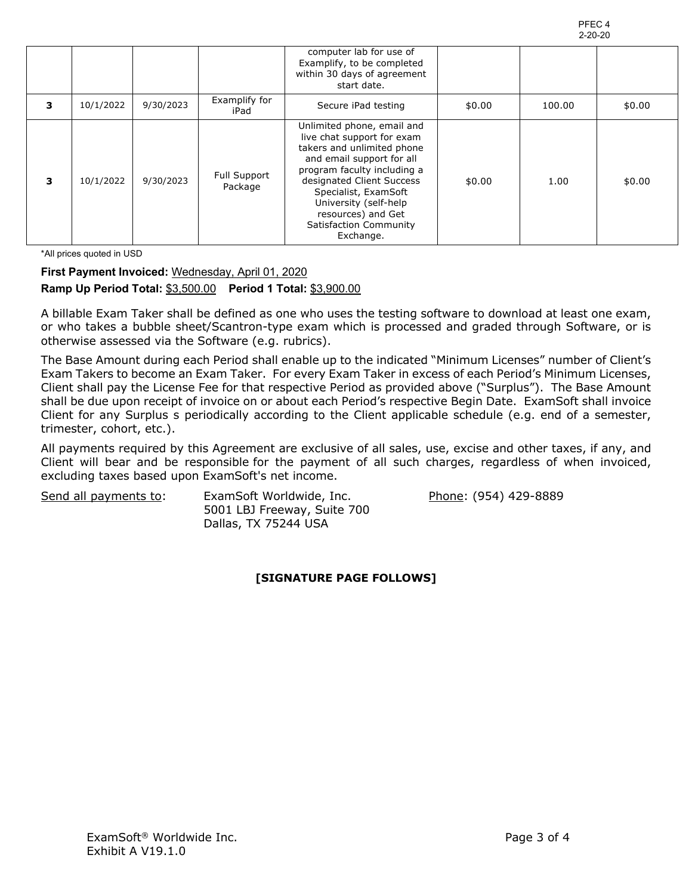| ۲<br>⊢<br>◡<br>€.<br>4 |  |
|------------------------|--|
| ンローンロ<br>٠,            |  |

|   |           |           |                                | computer lab for use of<br>Examplify, to be completed<br>within 30 days of agreement<br>start date.                                                                                                                                                                                           |        |        |        |
|---|-----------|-----------|--------------------------------|-----------------------------------------------------------------------------------------------------------------------------------------------------------------------------------------------------------------------------------------------------------------------------------------------|--------|--------|--------|
| з | 10/1/2022 | 9/30/2023 | Examplify for<br>iPad          | Secure iPad testing                                                                                                                                                                                                                                                                           | \$0.00 | 100.00 | \$0.00 |
| 3 | 10/1/2022 | 9/30/2023 | <b>Full Support</b><br>Package | Unlimited phone, email and<br>live chat support for exam<br>takers and unlimited phone<br>and email support for all<br>program faculty including a<br>designated Client Success<br>Specialist, ExamSoft<br>University (self-help<br>resources) and Get<br>Satisfaction Community<br>Exchange. | \$0.00 | 1.00   | \$0.00 |

\*All prices quoted in USD

## **First Payment Invoiced:** Wednesday, April 01, 2020  **Ramp Up Period Total:** \$3,500.00 **Period 1 Total:** \$3,900.00

 A billable Exam Taker shall be defined as one who uses the testing software to download at least one exam, or who takes a bubble sheet/Scantron-type exam which is processed and graded through Software, or is otherwise assessed via the Software (e.g. rubrics).

 The Base Amount during each Period shall enable up to the indicated "Minimum Licenses" number of Client's Exam Takers to become an Exam Taker. For every Exam Taker in excess of each Period's Minimum Licenses, Client shall pay the License Fee for that respective Period as provided above ("Surplus"). The Base Amount shall be due upon receipt of invoice on or about each Period's respective Begin Date. ExamSoft shall invoice Client for any Surplus s periodically according to the Client applicable schedule (e.g. end of a semester, trimester, cohort, etc.).

 All payments required by this Agreement are exclusive of all sales, use, excise and other taxes, if any, and Client will bear and be responsible for the payment of all such charges, regardless of when invoiced, excluding taxes based upon ExamSoft's net income.

Send all payments to:

 5001 LBJ Freeway, Suite 700 Dallas, TX 75244 USA ExamSoft Worldwide, Inc. Phone: (954) 429-8889

## **[SIGNATURE PAGE FOLLOWS]**